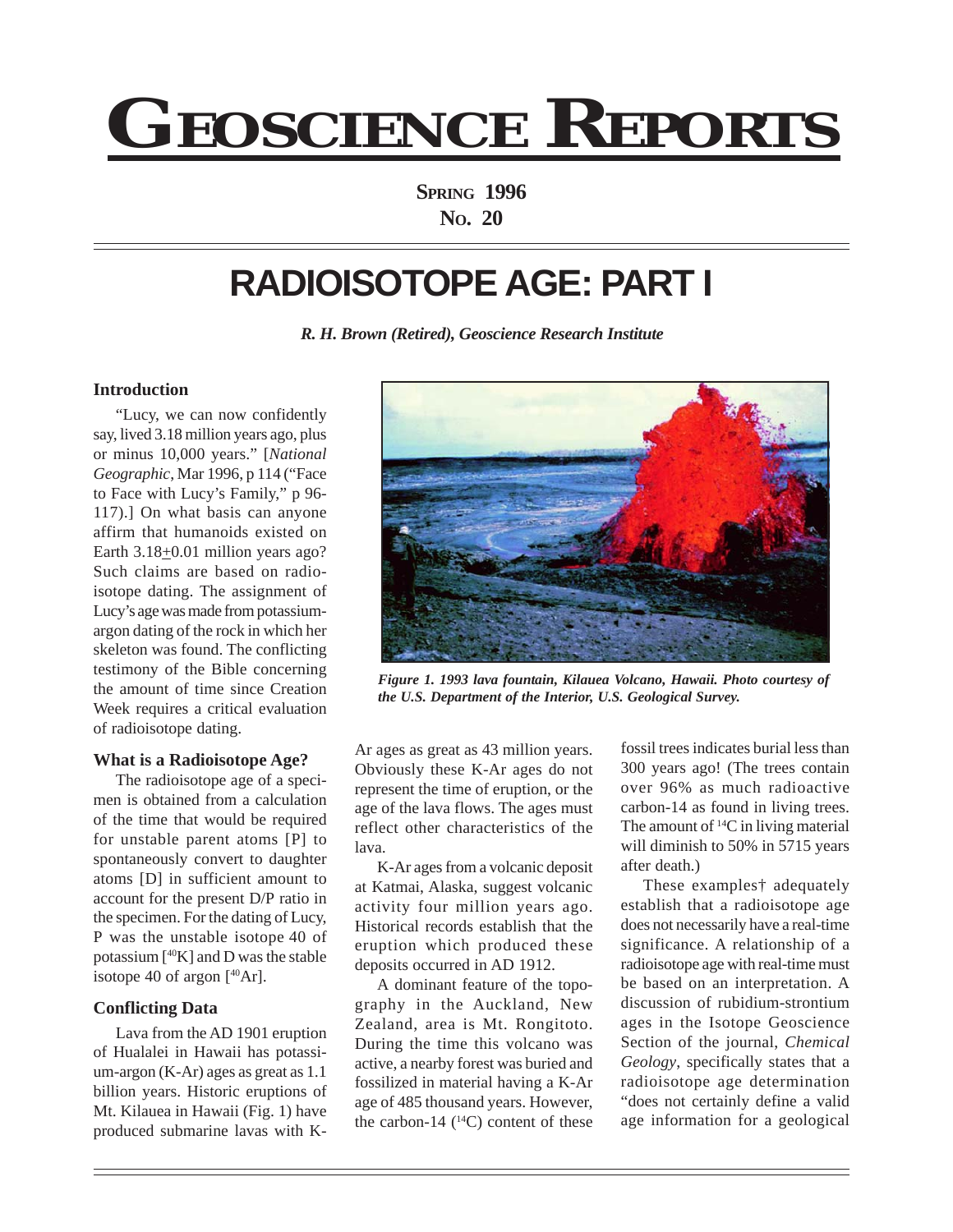# **GEOSCIENCE REPORTS**

**SPRING 1996 NO. 20**

# **RADIOISOTOPE AGE: PART I**

*R. H. Brown (Retired), Geoscience Research Institute*

# **Introduction**

"Lucy, we can now confidently say, lived 3.18 million years ago, plus or minus 10,000 years." [*National Geographic*, Mar 1996, p 114 ("Face to Face with Lucy's Family," p 96- 117).] On what basis can anyone affirm that humanoids existed on Earth  $3.18 \pm 0.01$  million years ago? Such claims are based on radioisotope dating. The assignment of Lucy's age was made from potassiumargon dating of the rock in which her skeleton was found. The conflicting testimony of the Bible concerning the amount of time since Creation Week requires a critical evaluation of radioisotope dating.

#### **What is a Radioisotope Age?**

The radioisotope age of a specimen is obtained from a calculation of the time that would be required for unstable parent atoms [P] to spontaneously convert to daughter atoms [D] in sufficient amount to account for the present D/P ratio in the specimen. For the dating of Lucy, P was the unstable isotope 40 of potassium  $[40K]$  and D was the stable isotope 40 of argon  $[40Ar]$ .

#### **Conflicting Data**

Lava from the AD 1901 eruption of Hualalei in Hawaii has potassium-argon (K-Ar) ages as great as 1.1 billion years. Historic eruptions of Mt. Kilauea in Hawaii (Fig. 1) have produced submarine lavas with K-



*Figure 1. 1993 lava fountain, Kilauea Volcano, Hawaii. Photo courtesy of the U.S. Department of the Interior, U.S. Geological Survey.*

Ar ages as great as 43 million years. Obviously these K-Ar ages do not represent the time of eruption, or the age of the lava flows. The ages must reflect other characteristics of the lava.

K-Ar ages from a volcanic deposit at Katmai, Alaska, suggest volcanic activity four million years ago. Historical records establish that the eruption which produced these deposits occurred in AD 1912.

A dominant feature of the topography in the Auckland, New Zealand, area is Mt. Rongitoto. During the time this volcano was active, a nearby forest was buried and fossilized in material having a K-Ar age of 485 thousand years. However, the carbon-14  $(^{14}C)$  content of these

fossil trees indicates burial less than 300 years ago! (The trees contain over 96% as much radioactive carbon-14 as found in living trees. The amount of  ${}^{14}C$  in living material will diminish to 50% in 5715 years after death.)

These examples† adequately establish that a radioisotope age does not necessarily have a real-time significance. A relationship of a radioisotope age with real-time must be based on an interpretation. A discussion of rubidium-strontium ages in the Isotope Geoscience Section of the journal, *Chemical Geology*, specifically states that a radioisotope age determination "does not certainly define a valid age information for a geological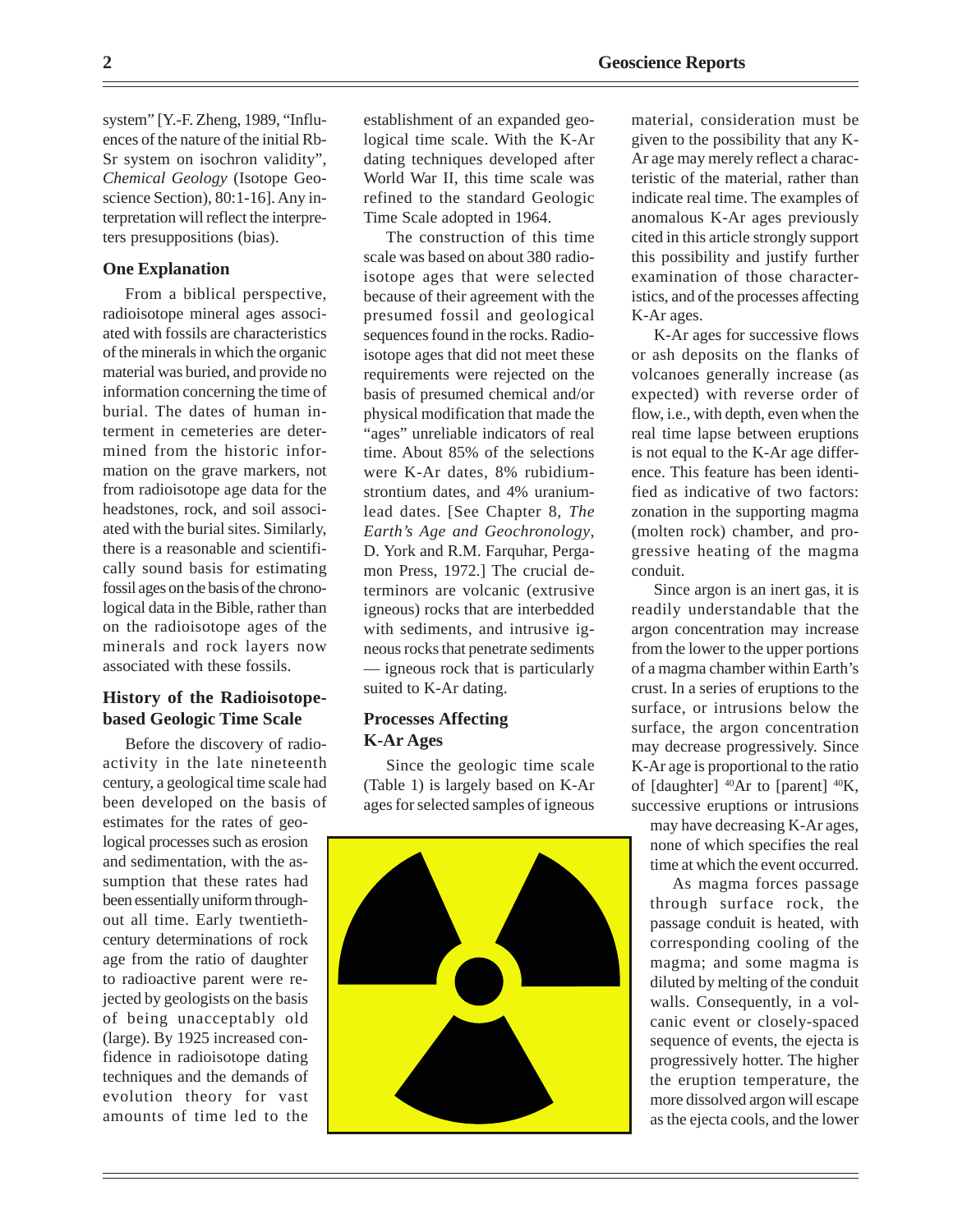system" [Y.-F. Zheng, 1989, "Influences of the nature of the initial Rb-Sr system on isochron validity", *Chemical Geology* (Isotope Geoscience Section), 80:1-16]. Any interpretation will reflect the interpreters presuppositions (bias).

## **One Explanation**

From a biblical perspective, radioisotope mineral ages associated with fossils are characteristics of the minerals in which the organic material was buried, and provide no information concerning the time of burial. The dates of human interment in cemeteries are determined from the historic information on the grave markers, not from radioisotope age data for the headstones, rock, and soil associated with the burial sites. Similarly, there is a reasonable and scientifically sound basis for estimating fossil ages on the basis of the chronological data in the Bible, rather than on the radioisotope ages of the minerals and rock layers now associated with these fossils.

# **History of the Radioisotopebased Geologic Time Scale**

Before the discovery of radioactivity in the late nineteenth century, a geological time scale had been developed on the basis of estimates for the rates of geo-

logical processes such as erosion and sedimentation, with the assumption that these rates had been essentially uniform throughout all time. Early twentiethcentury determinations of rock age from the ratio of daughter to radioactive parent were rejected by geologists on the basis of being unacceptably old (large). By 1925 increased confidence in radioisotope dating techniques and the demands of evolution theory for vast amounts of time led to the

establishment of an expanded geological time scale. With the K-Ar dating techniques developed after World War II, this time scale was refined to the standard Geologic Time Scale adopted in 1964.

The construction of this time scale was based on about 380 radioisotope ages that were selected because of their agreement with the presumed fossil and geological sequences found in the rocks. Radioisotope ages that did not meet these requirements were rejected on the basis of presumed chemical and/or physical modification that made the "ages" unreliable indicators of real time. About 85% of the selections were K-Ar dates, 8% rubidiumstrontium dates, and 4% uraniumlead dates. [See Chapter 8, *The Earth's Age and Geochronology*, D. York and R.M. Farquhar, Pergamon Press, 1972.] The crucial determinors are volcanic (extrusive igneous) rocks that are interbedded with sediments, and intrusive igneous rocks that penetrate sediments — igneous rock that is particularly suited to K-Ar dating.

## **Processes Affecting K-Ar Ages**

Since the geologic time scale (Table 1) is largely based on K-Ar ages for selected samples of igneous



material, consideration must be given to the possibility that any K-Ar age may merely reflect a characteristic of the material, rather than indicate real time. The examples of anomalous K-Ar ages previously cited in this article strongly support this possibility and justify further examination of those characteristics, and of the processes affecting K-Ar ages.

K-Ar ages for successive flows or ash deposits on the flanks of volcanoes generally increase (as expected) with reverse order of flow, i.e., with depth, even when the real time lapse between eruptions is not equal to the K-Ar age difference. This feature has been identified as indicative of two factors: zonation in the supporting magma (molten rock) chamber, and progressive heating of the magma conduit.

Since argon is an inert gas, it is readily understandable that the argon concentration may increase from the lower to the upper portions of a magma chamber within Earth's crust. In a series of eruptions to the surface, or intrusions below the surface, the argon concentration may decrease progressively. Since K-Ar age is proportional to the ratio of  $\lceil$  daughter $\rceil$  <sup>40</sup>Ar to  $\lceil$  parent $\rceil$  <sup>40</sup>K, successive eruptions or intrusions

may have decreasing K-Ar ages, none of which specifies the real time at which the event occurred.

As magma forces passage through surface rock, the passage conduit is heated, with corresponding cooling of the magma; and some magma is diluted by melting of the conduit walls. Consequently, in a volcanic event or closely-spaced sequence of events, the ejecta is progressively hotter. The higher the eruption temperature, the more dissolved argon will escape as the ejecta cools, and the lower